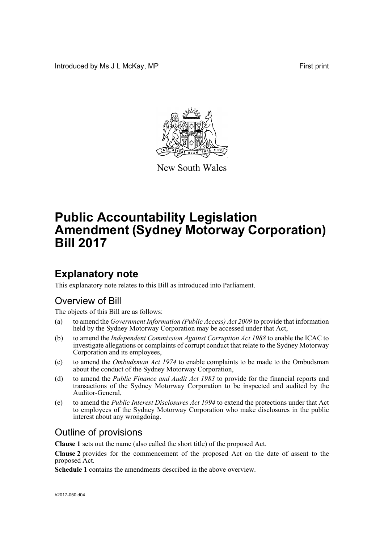Introduced by Ms J L McKay, MP **First** print



New South Wales

# **Public Accountability Legislation Amendment (Sydney Motorway Corporation) Bill 2017**

### **Explanatory note**

This explanatory note relates to this Bill as introduced into Parliament.

#### Overview of Bill

The objects of this Bill are as follows:

- (a) to amend the *Government Information (Public Access) Act 2009* to provide that information held by the Sydney Motorway Corporation may be accessed under that Act,
- (b) to amend the *Independent Commission Against Corruption Act 1988* to enable the ICAC to investigate allegations or complaints of corrupt conduct that relate to the Sydney Motorway Corporation and its employees,
- (c) to amend the *Ombudsman Act 1974* to enable complaints to be made to the Ombudsman about the conduct of the Sydney Motorway Corporation,
- (d) to amend the *Public Finance and Audit Act 1983* to provide for the financial reports and transactions of the Sydney Motorway Corporation to be inspected and audited by the Auditor-General,
- (e) to amend the *Public Interest Disclosures Act 1994* to extend the protections under that Act to employees of the Sydney Motorway Corporation who make disclosures in the public interest about any wrongdoing.

#### Outline of provisions

**Clause 1** sets out the name (also called the short title) of the proposed Act.

**Clause 2** provides for the commencement of the proposed Act on the date of assent to the proposed Act.

**Schedule 1** contains the amendments described in the above overview.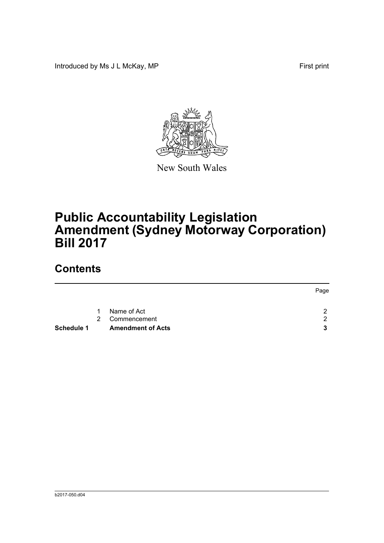Introduced by Ms J L McKay, MP First print



New South Wales

# **Public Accountability Legislation Amendment (Sydney Motorway Corporation) Bill 2017**

## **Contents**

| <b>Schedule 1</b> | <b>Amendment of Acts</b> | 3              |
|-------------------|--------------------------|----------------|
|                   | Commencement             | $\mathcal{P}$  |
|                   | Name of Act              | $\mathcal{D}$  |
|                   |                          | Page           |
|                   |                          | $1 \quad$<br>2 |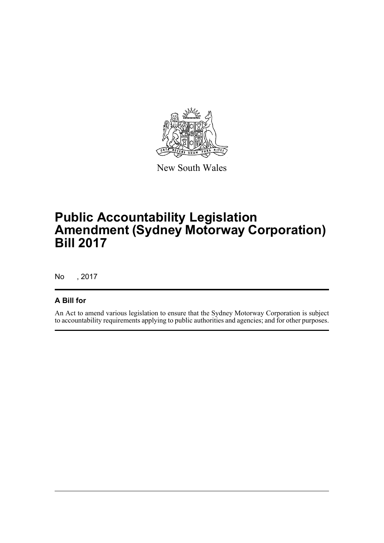

New South Wales

## **Public Accountability Legislation Amendment (Sydney Motorway Corporation) Bill 2017**

No , 2017

#### **A Bill for**

An Act to amend various legislation to ensure that the Sydney Motorway Corporation is subject to accountability requirements applying to public authorities and agencies; and for other purposes.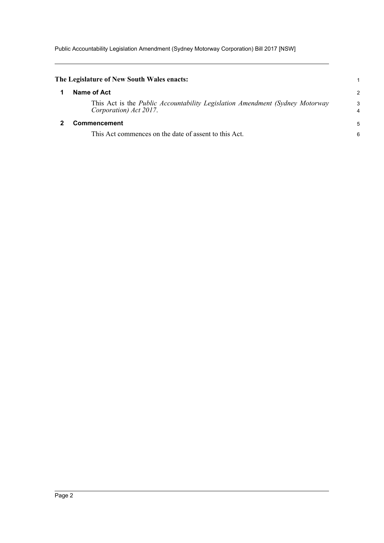Public Accountability Legislation Amendment (Sydney Motorway Corporation) Bill 2017 [NSW]

<span id="page-3-1"></span><span id="page-3-0"></span>

| The Legislature of New South Wales enacts:                                                                      |        |
|-----------------------------------------------------------------------------------------------------------------|--------|
| Name of Act                                                                                                     | 2      |
| This Act is the <i>Public Accountability Legislation Amendment (Sydney Motorway</i> )<br>Corporation) Act 2017. | 3<br>4 |
| <b>Commencement</b>                                                                                             |        |
| This Act commences on the date of assent to this Act.                                                           | 6      |
|                                                                                                                 |        |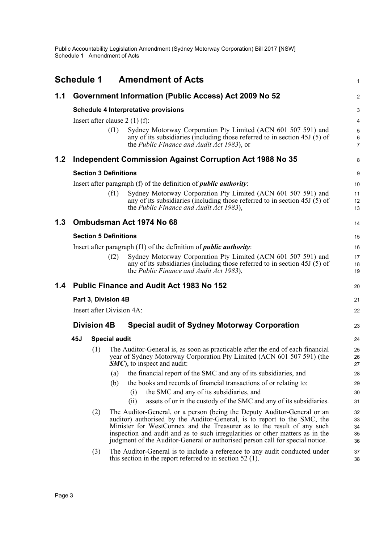<span id="page-4-0"></span>

|     | <b>Schedule 1</b> |                              |                              | <b>Amendment of Acts</b>                                                                                                                                                                                                                                                                                                                                                                         | 1                                     |  |  |  |
|-----|-------------------|------------------------------|------------------------------|--------------------------------------------------------------------------------------------------------------------------------------------------------------------------------------------------------------------------------------------------------------------------------------------------------------------------------------------------------------------------------------------------|---------------------------------------|--|--|--|
| 1.1 |                   |                              |                              | Government Information (Public Access) Act 2009 No 52                                                                                                                                                                                                                                                                                                                                            | $\overline{2}$                        |  |  |  |
|     |                   |                              |                              | <b>Schedule 4 Interpretative provisions</b>                                                                                                                                                                                                                                                                                                                                                      | 3                                     |  |  |  |
|     |                   |                              |                              | Insert after clause $2(1)(f)$ :                                                                                                                                                                                                                                                                                                                                                                  | $\overline{4}$                        |  |  |  |
|     |                   |                              | (f1)                         | Sydney Motorway Corporation Pty Limited (ACN 601 507 591) and<br>any of its subsidiaries (including those referred to in section $45J(5)$ of<br>the <i>Public Finance and Audit Act 1983</i> ), or                                                                                                                                                                                               | $\overline{5}$<br>6<br>$\overline{7}$ |  |  |  |
| 1.2 |                   |                              |                              | Independent Commission Against Corruption Act 1988 No 35                                                                                                                                                                                                                                                                                                                                         | 8                                     |  |  |  |
|     |                   | <b>Section 3 Definitions</b> |                              |                                                                                                                                                                                                                                                                                                                                                                                                  |                                       |  |  |  |
|     |                   |                              |                              | Insert after paragraph (f) of the definition of <i>public authority</i> :                                                                                                                                                                                                                                                                                                                        | 10                                    |  |  |  |
|     |                   |                              | (f1)                         | Sydney Motorway Corporation Pty Limited (ACN 601 507 591) and<br>any of its subsidiaries (including those referred to in section 45J (5) of<br>the Public Finance and Audit Act 1983),                                                                                                                                                                                                           | 11<br>12<br>13                        |  |  |  |
| 1.3 |                   |                              |                              | Ombudsman Act 1974 No 68                                                                                                                                                                                                                                                                                                                                                                         | 14                                    |  |  |  |
|     |                   |                              | <b>Section 5 Definitions</b> |                                                                                                                                                                                                                                                                                                                                                                                                  | 15                                    |  |  |  |
|     |                   |                              |                              | Insert after paragraph (f1) of the definition of <i>public authority</i> :                                                                                                                                                                                                                                                                                                                       | 16                                    |  |  |  |
|     |                   |                              | (f2)                         | Sydney Motorway Corporation Pty Limited (ACN 601 507 591) and<br>any of its subsidiaries (including those referred to in section $45J(5)$ of<br>the Public Finance and Audit Act 1983),                                                                                                                                                                                                          | 17<br>18<br>19                        |  |  |  |
| 1.4 |                   |                              |                              | <b>Public Finance and Audit Act 1983 No 152</b>                                                                                                                                                                                                                                                                                                                                                  | 20                                    |  |  |  |
|     |                   |                              | Part 3, Division 4B          |                                                                                                                                                                                                                                                                                                                                                                                                  | 21                                    |  |  |  |
|     |                   |                              | Insert after Division 4A:    |                                                                                                                                                                                                                                                                                                                                                                                                  | 22                                    |  |  |  |
|     |                   | <b>Division 4B</b>           |                              | <b>Special audit of Sydney Motorway Corporation</b>                                                                                                                                                                                                                                                                                                                                              | 23                                    |  |  |  |
|     | 45J               |                              | <b>Special audit</b>         |                                                                                                                                                                                                                                                                                                                                                                                                  | 24                                    |  |  |  |
|     |                   | (1)                          |                              | The Auditor-General is, as soon as practicable after the end of each financial<br>year of Sydney Motorway Corporation Pty Limited (ACN 601 507 591) (the<br><b>SMC</b> ), to inspect and audit:                                                                                                                                                                                                  | 25<br>26<br>27                        |  |  |  |
|     |                   |                              | (a)                          | the financial report of the SMC and any of its subsidiaries, and                                                                                                                                                                                                                                                                                                                                 | 28                                    |  |  |  |
|     |                   |                              | (b)                          | the books and records of financial transactions of or relating to:                                                                                                                                                                                                                                                                                                                               | 29                                    |  |  |  |
|     |                   |                              |                              | the SMC and any of its subsidiaries, and<br>(i)                                                                                                                                                                                                                                                                                                                                                  | 30                                    |  |  |  |
|     |                   |                              |                              | assets of or in the custody of the SMC and any of its subsidiaries.<br>(ii)                                                                                                                                                                                                                                                                                                                      | 31                                    |  |  |  |
|     |                   | (2)                          |                              | The Auditor-General, or a person (being the Deputy Auditor-General or an<br>auditor) authorised by the Auditor-General, is to report to the SMC, the<br>Minister for WestConnex and the Treasurer as to the result of any such<br>inspection and audit and as to such irregularities or other matters as in the<br>judgment of the Auditor-General or authorised person call for special notice. | 32<br>33<br>34<br>35<br>36            |  |  |  |
|     |                   | (3)                          |                              | The Auditor-General is to include a reference to any audit conducted under<br>this section in the report referred to in section 52 $(1)$ .                                                                                                                                                                                                                                                       | 37<br>38                              |  |  |  |